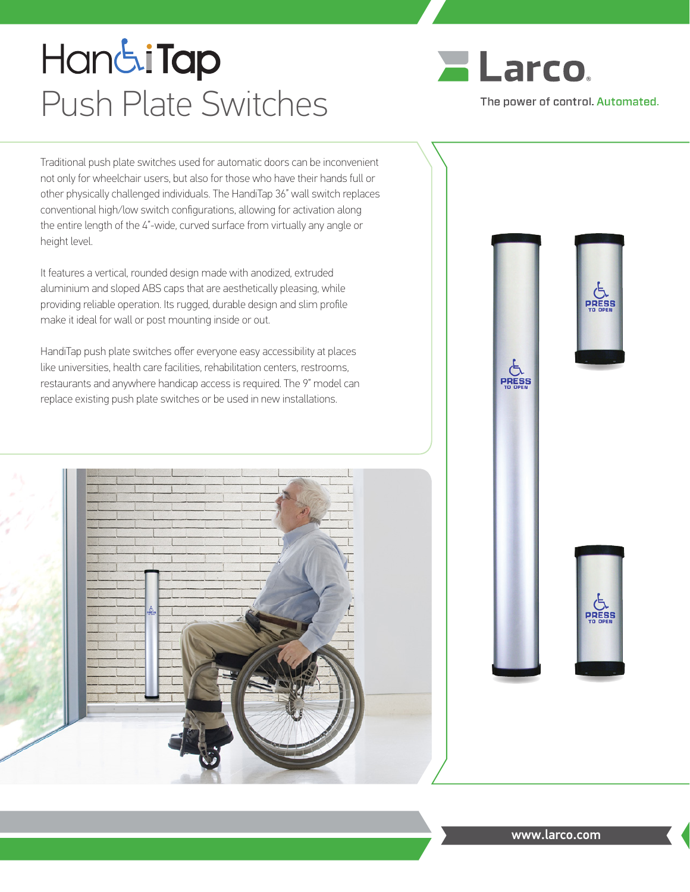# **HandiTap** Push Plate Switches



**E**<br>PRESS

Traditional push plate switches used for automatic doors can be inconvenient not only for wheelchair users, but also for those who have their hands full or other physically challenged individuals. The HandiTap 36" wall switch replaces conventional high/low switch configurations, allowing for activation along the entire length of the 4"-wide, curved surface from virtually any angle or height level.

It features a vertical, rounded design made with anodized, extruded aluminium and sloped ABS caps that are aesthetically pleasing, while providing reliable operation. Its rugged, durable design and slim profile make it ideal for wall or post mounting inside or out.

HandiTap push plate switches offer everyone easy accessibility at places like universities, health care facilities, rehabilitation centers, restrooms, restaurants and anywhere handicap access is required. The 9" model can replace existing push plate switches or be used in new installations.